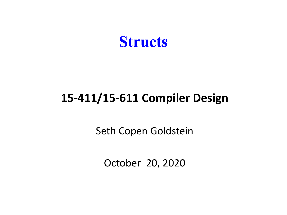

#### **15-411/15-611 Compiler Design**

Seth Copen Goldstein

October 20, 2020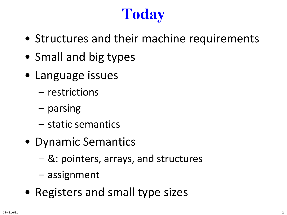# **Today**

- Structures and their machine requirements
- Small and big types
- Language issues
	- restrictions
	- parsing
	- static semantics
- Dynamic Semantics
	- &: pointers, arrays, and structures
	- assignment
- Registers and small type sizes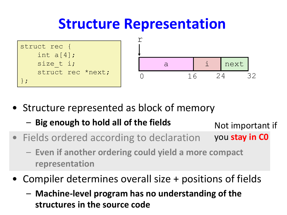### **Structure Representation**





• Structure represented as block of memory

– **Big enough to hold all of the fields**

Not important if

- Fields ordered according to declaration you **stay in C0**
	- **Even if another ordering could yield a more compact representation**
- Compiler determines overall size + positions of fields
	- **Machine-level program has no understanding of the structures in the source code**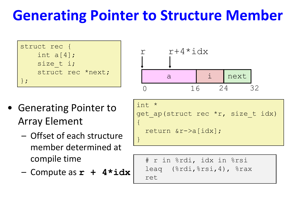## **Generating Pointer to Structure Member**

```
struct rec {
    int a[4];
    size t i;
    struct rec *next;
};
```
- Generating Pointer to Array Element
	- Offset of each structure member determined at compile time
	- Compute as **r + 4\*idx**

int \* get\_ap(struct rec \*r, size\_t idx) { return &r->a[idx]; } r+4\*idx a r i next 0 16 24 32

```
# r in %rdi, idx in %rsi
leaq (%rdi,%rsi,4), %rax
ret
```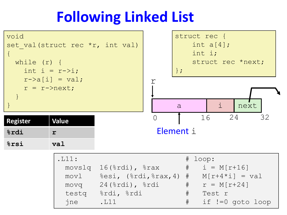## **Following Linked List**

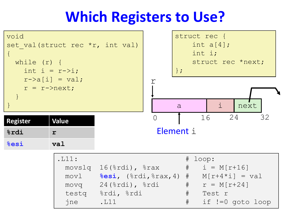### **Which Registers to Use?**

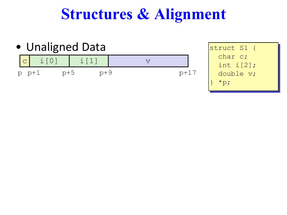### **Structures & Alignment**



struct S1 { char c; int i[2]; double v;  $*_{p}$ ;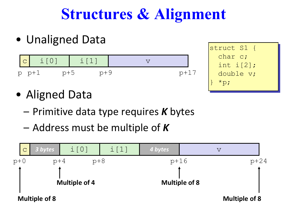# **Structures & Alignment**

• Unaligned Data





- Aligned Data
	- Primitive data type requires *K* bytes
	- Address must be multiple of *K*

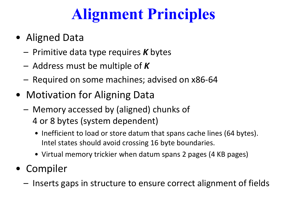# **Alignment Principles**

- Aligned Data
	- Primitive data type requires *K* bytes
	- Address must be multiple of *K*
	- Required on some machines; advised on x86-64
- Motivation for Aligning Data
	- Memory accessed by (aligned) chunks of 4 or 8 bytes (system dependent)
		- Inefficient to load or store datum that spans cache lines (64 bytes). Intel states should avoid crossing 16 byte boundaries.
		- Virtual memory trickier when datum spans 2 pages (4 KB pages)
- Compiler
	- Inserts gaps in structure to ensure correct alignment of fields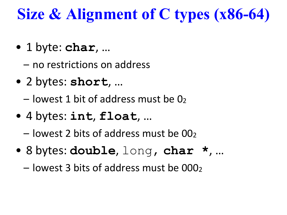# **Size & Alignment of C types (x86-64)**

• 1 byte: **char**, …

– no restrictions on address

• 2 bytes: **short**, …

 $-$  lowest 1 bit of address must be 0 $2$ 

- 4 bytes: **int**, **float**, …
	- $-$  lowest 2 bits of address must be 00 $<sub>2</sub>$ </sub>
- 8 bytes: **double**, long, **char \***, …
	- $-$  lowest 3 bits of address must be 000 $<sub>2</sub>$ </sub>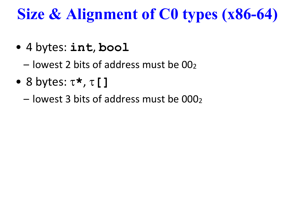# **Size & Alignment of C0 types (x86-64)**

- 4 bytes: **int**, **bool**
	- $-$  lowest 2 bits of address must be 00 $<sub>2</sub>$ </sub>
- 8 bytes: τ**\*** , τ**[]**
	- $-$  lowest 3 bits of address must be 000 $<sub>2</sub>$ </sub>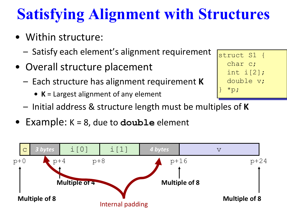# **Satisfying Alignment with Structures**

struct S1 {

char c;

 $*_{\mathsf{p}};$ 

int i[2];

double v;

- Within structure:
	- Satisfy each element's alignment requirement
- Overall structure placement
	- Each structure has alignment requirement **K**
		- **• K** = Largest alignment of any element
	- Initial address & structure length must be multiples of **K**
- Example: K = 8, due to **double** element

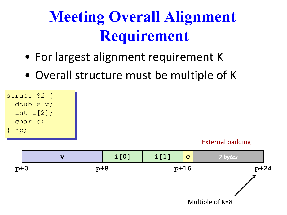# **Meeting Overall Alignment Requirement**

- For largest alignment requirement K
- Overall structure must be multiple of K



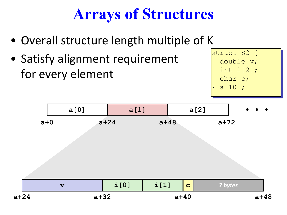# **Arrays of Structures**

- Overall structure length multiple of K
- Satisfy alignment requirement for every element

struct S2 { double v; int i[2]; char c;  $a[10]$ ;

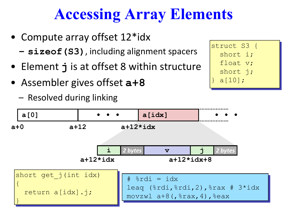# **Accessing Array Elements**

- Compute array offset 12\*idx
	- **– sizeof(S3)**, including alignment spacers
- Element **j** is at offset 8 within structure
- Assembler gives offset **a+8**
	- Resolved during linking



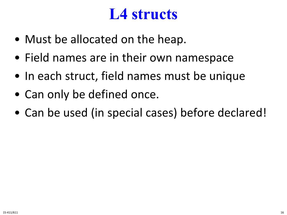### **L4 structs**

- Must be allocated on the heap.
- Field names are in their own namespace
- In each struct, field names must be unique
- Can only be defined once.
- Can be used (in special cases) before declared!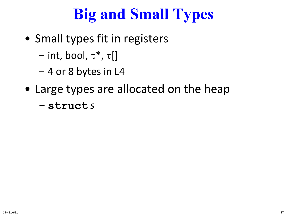# **Big and Small Types**

- Small types fit in registers
	- int, bool,  $\tau^*$ ,  $\tau$ []
	- 4 or 8 bytes in L4
- Large types are allocated on the heap
	- **struct** *s*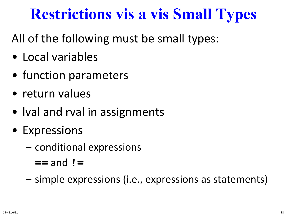## **Restrictions vis a vis Small Types**

### All of the following must be small types:

- Local variables
- function parameters
- return values
- Ival and rval in assignments
- Expressions
	- conditional expressions
	- **==** and **!=**
	- simple expressions (i.e., expressions as statements)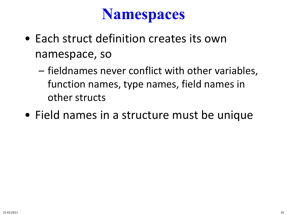### **Namespaces**

- Each struct definition creates its own namespace, so
	- fieldnames never conflict with other variables, function names, type names, field names in other structs
- Field names in a structure must be unique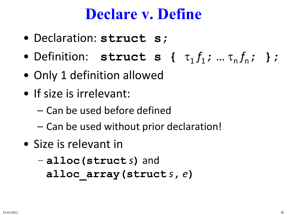### **Declare v. Define**

- Declaration: **struct s;**
- Definition: **struct s** {  $\tau_1 f_1; ... \tau_n f_n;$  };
- Only 1 definition allowed
- If size is irrelevant:
	- Can be used before defined
	- Can be used without prior declaration!
- Size is relevant in
	- **alloc(struct** *s***)** and **alloc\_array(struct** *s***,** *e***)**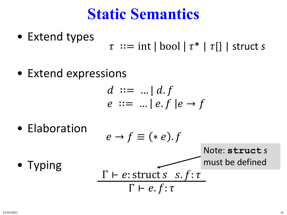### **Static Semantics**

- Extend types  $\tau ::= \text{int} | \text{bool} | \tau^* | \tau | ]$  | struct *s*
- Extend expressions

$$
d ::= ... | d.f
$$
  

$$
e ::= ... | e.f | e \rightarrow f
$$

• Elaboration

$$
e \rightarrow f \equiv (* e).f
$$
  
Note: **structures**  
must be defined  

$$
\Gamma \vdash e: \text{struct } s \quad s.f: \tau
$$

 $\Gamma \vdash e.f : \tau$ 

• Typing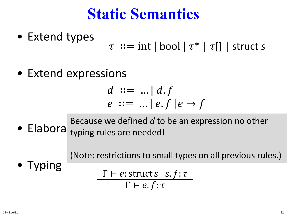### **Static Semantics**

- Extend types  $\tau ::= \text{int} | \text{bool} | \tau^* | \tau | ]$  | struct *s*
- Extend expressions

$$
d ::= ... | d.f
$$
  

$$
e ::= ... | e.f | e \rightarrow f
$$

 $\bullet$  Elabora typir typing rules are needed! Because we defined *d* to be an expression no other

> → ≡ ∗ . (Note: restrictions to small types on all previous rules.)

• Typing

$$
\frac{\Gamma \vdash e: \text{struct } s \cdot s.f: \tau}{\Gamma \vdash e.f: \tau}
$$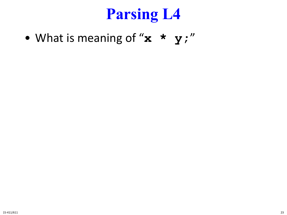# **Parsing L4**

• What is meaning of " $x * y$ ;"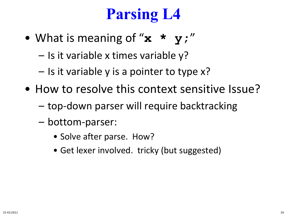# **Parsing L4**

- What is meaning of "**x \* y;**"
	- Is it variable x times variable y?
	- Is it variable y is a pointer to type x?
- How to resolve this context sensitive Issue?
	- top-down parser will require backtracking
	- bottom-parser:
		- Solve after parse. How?
		- Get lexer involved. tricky (but suggested)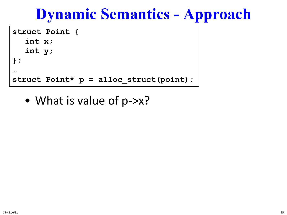```
struct Point {
  int x;
  int y;
};
…
struct Point* p = alloc_struct(point);
```
• What is value of p->x?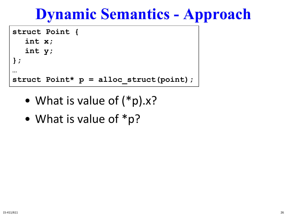```
struct Point {
  int x;
  int y;
};
…
struct Point* p = alloc_struct(point);
```
- What is value of  $(*p).x?$
- What is value of \*p?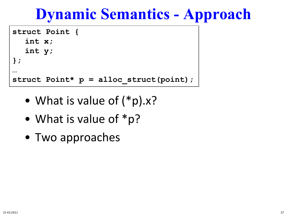```
struct Point {
  int x;
  int y;
};
…
struct Point* p = alloc_struct(point);
```
- What is value of  $(*p).x?$
- What is value of \*p?
- Two approaches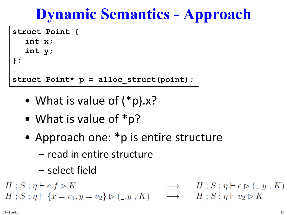```
struct Point {
  int x;
  int y;
};
…
struct Point* p = alloc_struct(point);
```
- What is value of  $(*p).x?$
- What is value of \*p?
- Approach one: \*p is entire structure
	- read in entire structure
	- select field

 $H$ ;  $S$ ;  $\eta$   $\vdash$   $e.f \rhd K$  $\longrightarrow$   $H$ ;  $S$ ;  $\eta$   $\vdash$   $e \triangleright (\_, y, K)$  $H: S: \eta \vdash \{x = v_1, y = v_2\} \rhd (\_, y, K) \longrightarrow H: S: \eta \vdash v_2 \rhd K$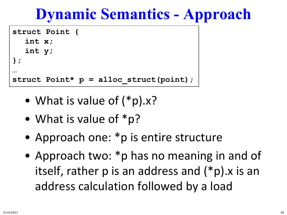```
struct Point {
  int x;
  int y;
};
…
struct Point* p = alloc_struct(point);
```
- What is value of  $(*p).x?$
- What is value of \*p?
- Approach one: \*p is entire structure
- Approach two: \*p has no meaning in and of itself, rather p is an address and (\*p).x is an address calculation followed by a load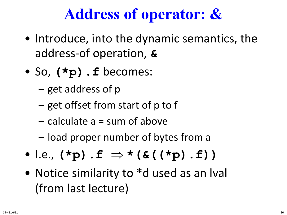## **Address of operator: &**

- Introduce, into the dynamic semantics, the address-of operation, **&**
- So, **(\*p).f** becomes:
	- get address of p
	- get offset from start of p to f
	- calculate a = sum of above
	- load proper number of bytes from a
- I.e., **(\*p).f** ⇒ **\*(&((\*p).f))**
- Notice similarity to \*d used as an Ival (from last lecture)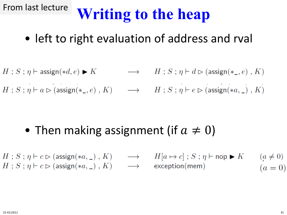#### **Writing to the heap** From last lecture

- left to right evaluation of address and rval
- $\longrightarrow$   $H$ ;  $S$ ;  $\eta \vdash d \rhd (\text{assign}(*_-, e)$ ,  $K)$  $H : S : \eta \vdash \mathsf{assign}(*d, e) \blacktriangleright K$
- $H: S: \eta \vdash a \rhd (\text{assign}(*_-, e), K) \longrightarrow H: S: \eta \vdash e \rhd (\text{assign}(*a, \_), K)$

- Then making assignment (if  $a \neq 0$ )
- $H[a \mapsto c]$ ;  $S$ ;  $\eta \vdash$  nop  $\blacktriangleright K$  $H$ ;  $S$ ;  $\eta \vdash c \rhd$  (assign(\*a, \_),  $K$ )  $\longrightarrow$  $(a \neq 0)$  $H$ ;  $S$ ;  $\eta \vdash c \rhd (\text{assign}(*a, \_), K) \longrightarrow$  $exception(mem)$  $(a = 0)$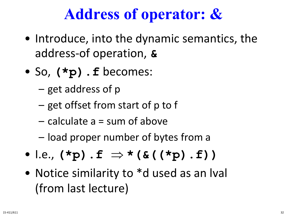## **Address of operator: &**

- Introduce, into the dynamic semantics, the address-of operation, **&**
- So, **(\*p).f** becomes:
	- get address of p
	- get offset from start of p to f
	- calculate a = sum of above
	- load proper number of bytes from a
- I.e., **(\*p).f** ⇒ **\*(&((\*p).f))**
- Notice similarity to \*d used as an Ival (from last lecture)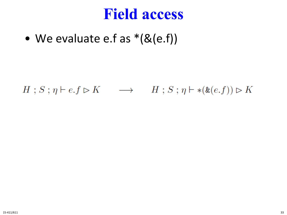### **Field access**

• We evaluate e.f as  $*(\& (e.f))$ 

 $H$ ;  $S$ ;  $\eta$   $\vdash$   $e.f \rhd K$   $\longrightarrow$   $H$ ;  $S$ ;  $\eta$   $\vdash$  \*( $\&$ ( $e.f$ ))  $\rhd K$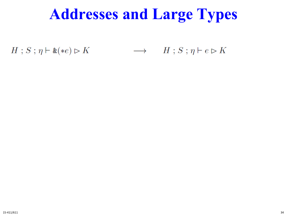$\longrightarrow$   $H$ ;  $S$ ;  $\eta$   $\vdash$   $e \triangleright K$  $H$ ;  $S$ ;  $\eta \vdash \& (*) \triangleright K$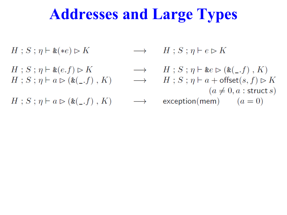- $H$ ;  $S$ ;  $\eta \vdash \& (*) \triangleright K$
- $H$ ;  $S$ ;  $\eta \vdash \& (e.f) \rhd K$
- $H$ ;  $S$ ;  $\eta$   $\vdash$   $a \triangleright (\& \begin{pmatrix} 0 & f \\ g & g \end{pmatrix}, K)$

 $H$ ;  $S$ ;  $\eta$   $\vdash$   $a \triangleright (\& \begin{pmatrix} 0 & f \\ g & g \end{pmatrix}, K)$ 

- $\longrightarrow$   $H$ ;  $S$ ;  $\eta$   $\vdash$   $e \triangleright K$
- $\longrightarrow$   $H$ ;  $S$ ;  $\eta \vdash \&e \triangleright (\&(c, f), K)$  $\longrightarrow$   $H$ ;  $S$ ;  $\eta \vdash a + \text{offset}(s, f) \rhd K$  $(a \neq 0, a :$  struct s)  $exception(mem)$   $(a = 0)$  $\longrightarrow$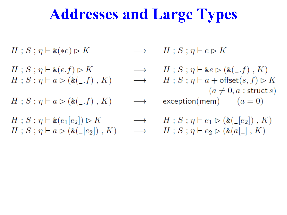$$
H \, ; \, S \, ; \, \eta \vdash \& (*e) \triangleright K \qquad \longrightarrow
$$

$$
H; S; \eta \vdash \& (e.f) \rhd K
$$
  

$$
H; S; \eta \vdash a \rhd (\& (\_, f), K)
$$

$$
H\,;\,S\,;\,\eta \vdash a \rhd (\text{&}(\_,f)\,,\,K) \qquad \longrightarrow
$$

$$
H: S: \eta \vdash \& (e_1[e_2]) \rhd K \longrightarrow
$$
  
\n
$$
H: S: \eta \vdash a \rhd (\& (\_ [e_2]) , K) \longrightarrow
$$

 $H$ ;  $S$ ;  $\eta$   $\vdash$   $e \triangleright K$ 

 $\rightarrow$   $H$ ;  $S$ ;  $\eta$   $\vdash$  &  $e \triangleright$  (&(\_.f), K)  $H$ ;  $S$ ;  $\eta$   $\vdash$   $a$   $+$  offset $(s, f) \rhd K$  $\rightarrow$  $(a \neq 0, a :$  struct s)  $exception(mem)$   $(a = 0)$ 

$$
H : S : \eta \vdash e_1 \rhd (\mathfrak{E}(\_ [e_2]), K)
$$
  

$$
H : S : \eta \vdash e_2 \rhd (\mathfrak{E}(a[\_], K))
$$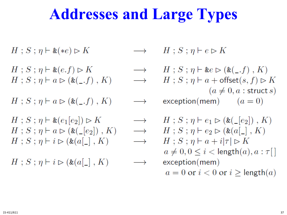$$
H\,;\,S\,;\,\eta\vdash\&(*e)\rhd K\qquad\longrightarrow\qquad
$$

$$
H; S; \eta \vdash \& (e.f) \rhd K
$$
  

$$
H; S; \eta \vdash a \rhd (\& (\_, f), K)
$$

$$
H\,;\,S\,;\,\eta \vdash a \rhd (\text{&}(\_,f)\,,\,K) \qquad \longrightarrow
$$

$$
H: S: \eta \vdash \& (e_1[e_2]) \rhd K \longrightarrow
$$
  
\n
$$
H: S: \eta \vdash a \rhd (\& (\_ [e_2]), K) \longrightarrow
$$
  
\n
$$
H: S: \eta \vdash i \rhd (\& (a[\_], K) \longrightarrow
$$

$$
H\,;\,S\,;\,\eta \vdash i \rhd (\& (a[\_]\,,\,K) \qquad \longrightarrow
$$

 $H$ ;  $S$ ;  $\eta$   $\vdash$   $e \triangleright K$ 

 $\rightarrow$   $H$ ;  $S$ ;  $\eta$   $\vdash$  &  $e \triangleright$  (&(\_.f), K)  $H$ ;  $S$ ;  $\eta$   $\vdash$   $a$   $+$  offset $(s, f) \rhd K$  $\rightarrow$  $(a \neq 0, a :$  struct s)  $exception(mem)$   $(a = 0)$ 

$$
H: S: \eta \vdash e_1 \rhd (\& (\_ [e_2]), K)
$$
\n
$$
H: S: \eta \vdash e_2 \rhd (\& (a[\_], K)
$$
\n
$$
H: S: \eta \vdash a + i|\tau| \rhd K
$$
\n
$$
a \neq 0, 0 \leq i < \text{length}(a), a: \tau[]
$$
\nexception(mem)\n
$$
a = 0 \text{ or } i < 0 \text{ or } i \geq \text{length}(a)
$$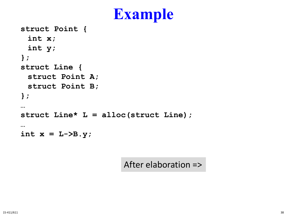### **Example**

```
struct Point {
 int x;
 int y;
};
struct Line {
 struct Point A;
 struct Point B;
};
…
struct Line* L = alloc(struct Line);
…
int x = L->B.y;
```
After elaboration =>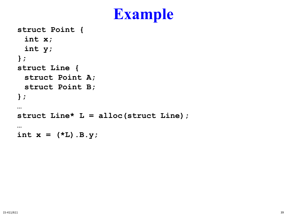### **Example**

```
struct Point {
 int x;
 int y;
};
struct Line {
 struct Point A;
 struct Point B;
};
…
struct Line* L = alloc(struct Line);
…
int x = (*L) . B. y;
```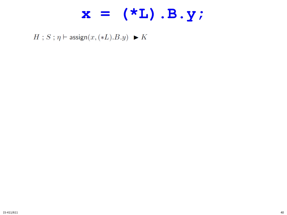### $x = (*L) . B.y;$

 $H$ ;  $S$ ;  $\eta$   $\vdash$  assign $(x, (*L).B.y)$   $\blacktriangleright K$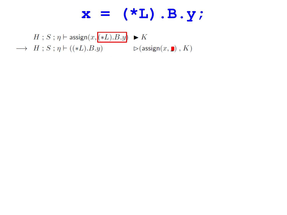$H$ ;  $S$ ;  $\eta$  + assign $(x, ( *L).B. y)$   $\blacktriangleright K$  $\longrightarrow$   $H$ ;  $S$ ;  $\eta \vdash ((*L).B.y)$   $\triangleright$  (assign $(x, \blacksquare)$ ,  $K$ )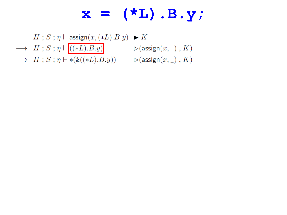$H$ ;  $S$ ;  $\eta$   $\vdash$  assign $(x, (*L).B.y)$   $\blacktriangleright K$  $\longrightarrow \ \ H \ ; \ S \ ; \ \eta \vdash \boxed{((*L).B.y)} \qquad \qquad \rhd (\mathsf{assign}(x, \_) \ , \ K)$  $\longrightarrow$   $H$ ;  $S$ ;  $\eta \vdash *(*((*L).B.y))$   $\triangleright$  (assign $(x, \_)$ ,  $K)$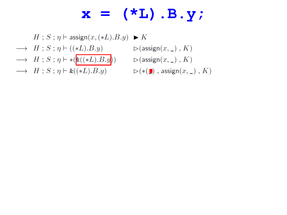$H$ ;  $S$ ;  $\eta$   $\vdash$  assign $(x, (*L).B.y)$   $\blacktriangleright K$  $\longrightarrow$   $H$ ; S;  $\eta \vdash ((*L).B.y)$  $\longrightarrow \ \ H \ ; \ S \ ; \ \eta \vdash *(\overline{\mathtt{k}((*L).B.y)} ) \qquad \rhd (\mathsf{assign}(x, \_) \ , \ K)$  $\longrightarrow$   $H$ ;  $S$ ;  $\eta \vdash \& ((*L).B.y)$   $\triangleright (\ast(\blacksquare)$ , assign $(x, \_)$ ,  $K)$ 

 $\triangleright$  (assign $(x, \_)$ ,  $K$ )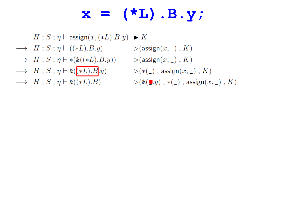$H$ ;  $S$ ;  $\eta$   $\vdash$  assign $(x, (*L).B.y)$   $\blacktriangleright K$ 

- $\longrightarrow$   $H$ ;  $S$ ;  $\eta \vdash ((*L).B.y)$   $\triangleright$  (assign $(x, \_)$ ,  $K$ )
- $\longrightarrow$   $H$ ;  $S$ ;  $\eta \vdash *(*((*L).B.y))$   $\triangleright$  (assign $(x, \_)$ ,  $K)$
- $\longrightarrow$   $H$ ;  $S$ ;  $\eta \vdash \& (\ast L) . B . y$   $\triangleright (\ast (\_)$ , assign $(x, \_)$ ,  $K)$
- 
- 
- 
- 
- $\longrightarrow$   $H$ ;  $S$ ;  $\eta \vdash \& (\ast L).B$   $\triangleright (\& (\blacksquare. y)$ ,  $\ast(\square)$ , assign $(x, \square)$ ,  $K$ )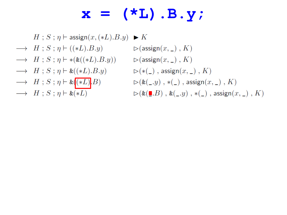$H: S: \eta \vdash \mathsf{assign}(x, (*L).B.y) \blacktriangleright K$ 

- $\longrightarrow$   $H$ ;  $S$ ;  $\eta \vdash ((*L).B.y)$
- $\longrightarrow$   $H$ ;  $S$ ;  $\eta \vdash *(*(*(L).B.y))$   $\triangleright$  (assign $(x, \_)$ ,  $K)$
- $\longrightarrow$   $H$ ;  $S$ ;  $\eta \vdash \& ((*L).B.y)$   $\triangleright (\ast(\_)$ , assign $(x, \_)$ , K)
- $\longrightarrow$   $H$ ;  $S$ ;  $\eta \vdash \&( *L).B)$
- $\longrightarrow H$ ;  $S$ ;  $\eta \vdash \&(*L)$
- $\triangleright$  (assign $(x, \_)$ , K)  $\triangleright(\&(\_,y)$  ,  $\ast(\_)$  , assign $(x,\_)$  ,  $K)$  $\triangleright$  ( &  $\left(\mathbf{I}.B\right)$  , &  $\left(\mathbf{I}.y\right)$  ,  $\ast$   $\left(\mathbf{I}\right)$  , assign $(x, \mathbf{I})$ ,  $K$ )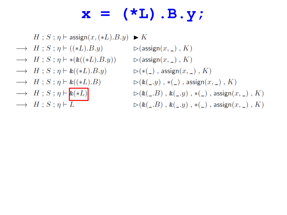$H: S: \eta \vdash \mathsf{assign}(x, (*L).B.y) \blacktriangleright K$ 

- $\longrightarrow$   $H$ ; S;  $\eta \vdash ((*L).B.y)$
- $\longrightarrow$   $H$ ;  $S$ ;  $\eta \vdash *(*(*(L).B.y))$   $\triangleright$  (assign $(x, \_)$ ,  $K)$
- $\longrightarrow$   $H$ ;  $S$ ;  $\eta \vdash \& ((*L).B.y)$   $\triangleright (\ast(\_)$ , assign $(x, \_)$ , K)
- $\longrightarrow$   $H$ ;  $S$ ;  $\eta \vdash \& ((\ast L).B)$
- $\longrightarrow H$ ;  $S$ ;  $\eta \vdash \underline{\&(*L)}$
- $\longrightarrow H : S : \eta \vdash \overline{L}$
- $\triangleright$  (assign $(x, \_)$ , K)  $\triangleright(\&((z,y)\;,\; *(\_)\;,\; \text{assign}(x,\_)\;,\; K)$  $\triangleright$  (&(\_.B), &(\_.y), \*(\_), assign(x, \_), K)  $\triangleright$  (&(\_.B), &(\_.y), \*(\_), assign(x, \_), K)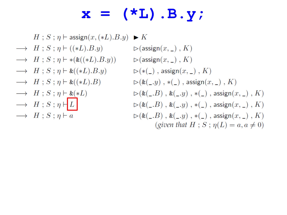$H$ ;  $S$ ;  $\eta$   $\vdash$  assign $(x, (*L).B.y) \blacktriangleright K$ 

- $\longrightarrow$   $H$ ;  $S$ ;  $\eta$   $\vdash$  ((\*L).  $B,y$ )
- $\longrightarrow$   $H$ ;  $S$ ;  $\eta \vdash *(*(*(L).B.y))$   $\triangleright$  (assign $(x, \_)$ ,  $K)$
- $\longrightarrow$   $H : S : \eta \vdash \& ((\ast L).B.y)$
- $\longrightarrow$   $H : S : \eta \vdash \& ((\ast L).B)$
- $\longrightarrow$   $H$ ;  $S$ ;  $\eta \vdash \&(*L)$
- $\longrightarrow H; S; \eta \vdash L$
- $\longrightarrow H : S : n \vdash a$

 $\triangleright$  (assign $(x, \_)$ , K)  $\triangleright$  (\*(\_), assign $(x, \_)$ , K)  $\triangleright(\&($ <sub>-</sub>.y), \*(\_), assign(x, \_), K)  $\triangleright$  (&(\_.B), &(\_.y), \*(\_), assign(x, \_), K)  $\triangleright$  (&(\_.B), &(\_.y), \*(\_), assign(x, \_), K)  $\triangleright$  (&(\_.B), &(\_.y), \*(\_), assign(x, \_), K) (given that  $H$ ;  $S$ ;  $\eta(L) = a, a \neq 0$ )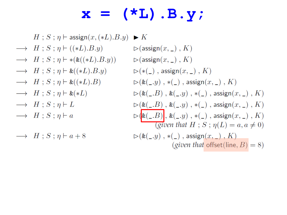### $\mathbf{x} = (\star \mathbf{L}) \cdot \mathbf{B} \cdot \mathbf{y}$

 $H$ ;  $S$ ;  $\eta$   $\vdash$  assign $(x, (*L).B.y) \blacktriangleright K$ 

- $\longrightarrow$   $H$ ;  $S$ ;  $\eta$   $\vdash$  ((\*L).  $B,y$ )
- $\longrightarrow$   $H$ ;  $S$ ;  $\eta \vdash *(*(*(L).B.y))$   $\triangleright$  (assign $(x, \_)$ ,  $K)$
- $\longrightarrow$   $H : S : \eta \vdash \& ((\ast L).B.y)$
- $\longrightarrow$   $H$ ;  $S$ ;  $\eta \vdash \& ((\ast L).B)$
- $\longrightarrow H : S : \eta \vdash \&(*L)$
- $\longrightarrow H : S : \eta \vdash L$
- $\longrightarrow H : S : n \vdash a$

 $\longrightarrow H : S : n \vdash a + 8$ 

 $\triangleright$  (assign $(x, \_)$ , K)  $\triangleright$   $(\ast(\_)$ , assign $(x, \_)$ ,  $K)$  $\triangleright(\&((z,y),\, *(\_),\, \text{assign}(x,\_),\, K)$  $\triangleright$  (&(\_.B), &(\_.y), \*(\_), assign(x, \_), K)  $\triangleright$  (&(\_.B), &(\_.y), \*(\_), assign(x, \_), K)  $\triangleright$   $\left(\mathsf{k}(\_B)\right], \mathsf{k}(\_y)$ , \* $(\_)$ , assign $(x, \_)$ , K) (given that  $H: S: \eta(L) = a, a \neq 0$ )  $\triangleright(\&($ <sub>-</sub>.y), \*(\_), assign $(x,$ <sub>-</sub>), K) (*given that* offset(line,  $B$ ) = 8)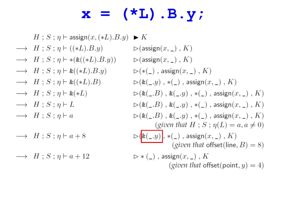### $\mathbf{x} = (\star \mathbf{L}) \cdot \mathbf{B} . \mathbf{y}$

- $H$ ;  $S$ ;  $\eta$   $\vdash$  assign $(x, (*L).B.y)$  $\blacktriangleright$  K
- $\longrightarrow$   $H$ ;  $S$ ;  $\eta$   $\vdash$  ((\*L).  $B$ .  $y$ )
- $\longrightarrow$   $H$ ;  $S$ ;  $\eta$   $\vdash$  \*( $\&$ ((\*L). $B$ .y))
- $\longrightarrow$   $H : S : \eta \vdash \& ((\ast L).B.y)$
- $\longrightarrow$   $H$ ;  $S$ ;  $\eta \vdash \& ((\ast L).B)$
- $\longrightarrow H : S : \eta \vdash \&(*L)$
- $\longrightarrow H : S : \eta \vdash L$
- $\longrightarrow H : S : n \vdash a$
- $\longrightarrow H : S : n \vdash a + 8$
- $\longrightarrow H : S : n \vdash a + 12$

 $\triangleright$  (assign $(x, \_)$ , K)  $\triangleright$  (assign $(x, \_)$ , K)  $\triangleright$  (\*(\_), assign $(x, \_)$ , K)  $\triangleright$  (&(\_.y), \*(\_), assign(x, \_), K)  $\triangleright$  (&(\_.B), &(\_.y), \*(\_), assign(x, \_), K)  $\triangleright$  (&(\_.B), &(\_.y), \*(\_), assign(x, \_), K)  $\triangleright$  (&(\_.B), &(\_.y), \*(\_), assign(x, \_), K) (given that H; S;  $\eta(L) = a, a \neq 0$ )  $\triangleright$   $\left(\mathsf{k}(\_,y)\right), \ast(\_)$ , assign $(x, \_)$ , K) (given that offset(line,  $B$ ) = 8)  $\triangleright *$  (\_), assign $(x, \_)$ , K (given that offset(point,  $y$ ) = 4)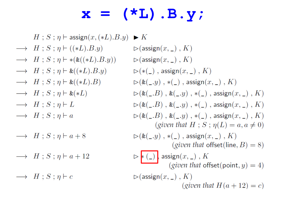### $\mathbf{x} = (\star \mathbf{L}) \cdot \mathbf{B} . \mathbf{y}$

- $H$ ;  $S$ ;  $\eta$   $\vdash$  assign $(x, (*L).B.y)$  $\blacktriangleright$  K
- $\longrightarrow$   $H$ ;  $S$ ;  $\eta$   $\vdash$  ((\*L).B.y)
- $\longrightarrow$   $H$ ;  $S$ ;  $\eta$   $\vdash$  \*( $\&$ ((\*L). $B$ .y))
- $\longrightarrow$   $H : S : \eta \vdash \& ((\ast L).B.y)$
- $\longrightarrow$   $H$ ;  $S$ ;  $\eta \vdash \& ((\ast L).B)$
- $\longrightarrow$   $H$ ;  $S$ ;  $\eta \vdash \&(*L)$
- $\longrightarrow H : S : \eta \vdash L$
- $\longrightarrow H : S : n \vdash a$
- $\longrightarrow H : S : n \vdash a + 8$
- $\rightarrow H$ ;  $S$ ;  $\eta$   $\vdash$   $a + 12$

 $\longrightarrow H$ ;  $S$ ;  $\eta \vdash c$ 

 $\triangleright$  (assign $(x, \_)$ , K)  $\triangleright$  (assign $(x, \_)$ , K)  $\triangleright$  (\*(\_), assign(x, \_), K)  $\triangleright$  (&(\_.y), \*(\_), assign(x, \_), K)  $\triangleright$  (&(\_.B), &(\_.y), \*(\_), assign(x, \_), K)  $\triangleright$  (&(\_.B), &(\_.y), \*(\_), assign(x, \_), K)  $\triangleright$  (&(\_.B), &(\_.y), \*(\_), assign(x, \_), K) (given that H; S;  $\eta(L) = a, a \neq 0$ )  $\triangleright$  (&(\_.y), \*(\_), assign(x, \_), K) (*given that* offset(line,  $B$ ) = 8)  $\triangleright$   $\ast$  (\_)  $\Big\}$  assign $(x, \_)$ ,  $K$ (given that offset(point,  $y$ ) = 4)  $\triangleright$  (assign $(x, \_)$ , K) (given that  $H(a+12) = c$ )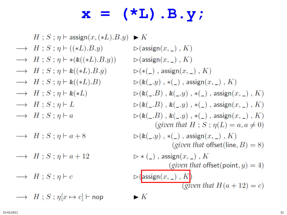## $\mathbf{x} = (\star \mathbf{L}) \cdot \mathbf{B} . \mathbf{y}$

 $\blacktriangleright$  K

 $\blacktriangleright K$ 

- $H$ ;  $S$ ;  $\eta$   $\vdash$  assign $(x, (*L).B.y)$  $\longrightarrow$   $H$ ;  $S$ ;  $\eta$   $\vdash$  ((\*L).  $B$ .  $y$ )  $\longrightarrow$   $H$ ;  $S$ ;  $\eta \vdash *(*(*(*L).B.y))$  $\longrightarrow$   $H$ ;  $S$ ;  $\eta \vdash \& ((\ast L).B.y)$  $\longrightarrow$   $H$ ;  $S$ ;  $\eta \vdash \& ((\ast L).B)$
- $\longrightarrow$   $H : S : \eta \vdash \&(*L)$
- $\longrightarrow H : S : \eta \vdash L$
- $\longrightarrow H : S : n \vdash a$
- $\longrightarrow H : S : n \vdash a + 8$
- $\rightarrow H$ ;  $S$ ;  $\eta$   $\vdash$   $a + 12$
- $\longrightarrow H$ ;  $S$ ;  $\eta \vdash c$
- $\longrightarrow$   $H : S : \eta[x \mapsto c]$  + nop

 $\triangleright$  (assign $(x, \_)$ , K)  $\triangleright$  (assign $(x, \_)$ , K)  $\triangleright$  (\*(\_), assign $(x, \_)$ , K)  $\triangleright$  (&(\_.y), \*(\_), assign(x, \_), K)  $\triangleright$  (&(\_.B), &(\_.y), \*(\_), assign(x, \_), K)  $\triangleright$  (&(\_.B), &(\_.y), \*(\_), assign(x, \_), K)  $\triangleright$  (&(\_.B), &(\_.y), \*(\_), assign(x, \_), K) (given that H; S;  $\eta(L) = a, a \neq 0$ )  $\triangleright$  (&(\_.y), \*(\_), assign(x, \_), K) (given that offset(line,  $B$ ) = 8)  $\triangleright *$  (\_), assign $(x, \_)$ , K (given that offset(point,  $y$ ) = 4)  $\triangleright$  (assign $(x, \_)$ , K) (given that  $H(a+12)=c$ )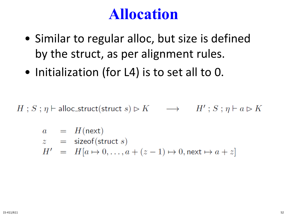### **Allocation**

- Similar to regular alloc, but size is defined by the struct, as per alignment rules.
- Initialization (for L4) is to set all to 0.

 $H: S: \eta \vdash \text{alloc\_struct}(\text{struct } s) \rhd K \longrightarrow H': S: \eta \vdash a \rhd K$ 

$$
a = H(\text{next})
$$
  
\n
$$
z = \text{sizeof}(\text{struct } s)
$$
  
\n
$$
H' = H[a \mapsto 0, \dots, a + (z - 1) \mapsto 0, \text{next} \mapsto a + z]
$$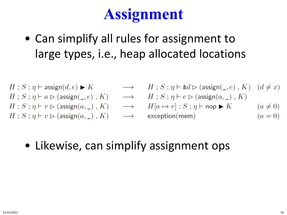# **Assignment**

• Can simplify all rules for assignment to large types, i.e., heap allocated locations

$$
\begin{array}{llllll} H\,;\,S\,;\,\eta \vdash \mathsf{assign}(d,e) \blacktriangleright K & \longrightarrow & H\,; \\ H\,;\,S\,;\,\eta \vdash a \vartriangleright (\mathsf{assign}(\_,e)\,,\,K) & \longrightarrow & H\,; \\ H\,;\,S\,;\,\eta \vdash v \vartriangleright (\mathsf{assign}(a,\_) \,,\,K) & \longrightarrow & H[a \\ H\,;\,S\,;\,\eta \vdash v \vartriangleright (\mathsf{assign}(a,\_) \,,\,K) & \longrightarrow & \mathsf{exce} \end{array}
$$

 $S$ ;  $\eta \vdash \&d \rhd (\text{assign}(\_,e)$ ,  $K)$   $(d \neq x)$  $S: \eta \vdash e \rhd (\text{assign}(a, \_), K)$  $\mapsto v$  ;  $S$ ;  $\eta \vdash$  nop  $\blacktriangleright K$   $(a \neq 0)$  $(a = 0)$  $ption(mem)$ 

• Likewise, can simplify assignment ops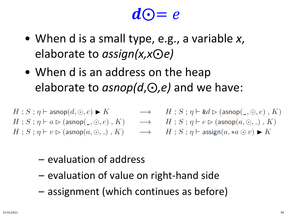# $d\Theta = e$

- When d is a small type, e.g., a variable *x*, elaborate to *assign(x,x*⨀*e)*
- When d is an address on the heap elaborate to *asnop(d,*⊙*,e)* and we have:

$$
\begin{array}{lcl} H\;;\,S\;;\,\eta \vdash \mathsf{asnop}(d,\odot,e) \blacktriangleright K &\longrightarrow& H\;;\,S\;;\,\eta \vdash \mathsf{kd} \mathrel{\rhd} (\mathsf{asnop}(\_,\odot,e)\;,\,K)\\ H\;;\,S\;;\,\eta \vdash a\mathrel{\rhd} (\mathsf{asnop}(\_,\odot,e)\;,\,K) &\longrightarrow& H\;;\,S\;;\,\eta \vdash e\mathrel{\rhd} (\mathsf{asnop}(a,\odot,\_) \;,\,K)\\ H\;;\,S\;;\,\eta \vdash v\mathrel{\rhd} (\mathsf{asnop}(a,\odot,\_) \;,\,K) &\longrightarrow& H\;;\,S\;;\,\eta \vdash \mathsf{assign}(a,\ast a\odot v)\blacktriangleright K \end{array}
$$

- evaluation of address
- evaluation of value on right-hand side
- assignment (which continues as before)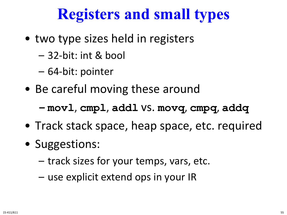## **Registers and small types**

- two type sizes held in registers
	- 32-bit: int & bool
	- 64-bit: pointer
- Be careful moving these around
	- **– movl**, **cmpl**, **addl** vs. **movq**, **cmpq**, **addq**
- Track stack space, heap space, etc. required
- Suggestions:
	- track sizes for your temps, vars, etc.
	- use explicit extend ops in your IR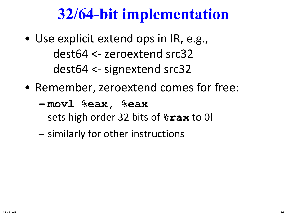## **32/64-bit implementation**

- Use explicit extend ops in IR, e.g., dest64 <- zeroextend src32 dest64 <- signextend src32
- Remember, zeroextend comes for free:
	- **– movl %eax, %eax** sets high order 32 bits of **%rax** to 0!
	- similarly for other instructions